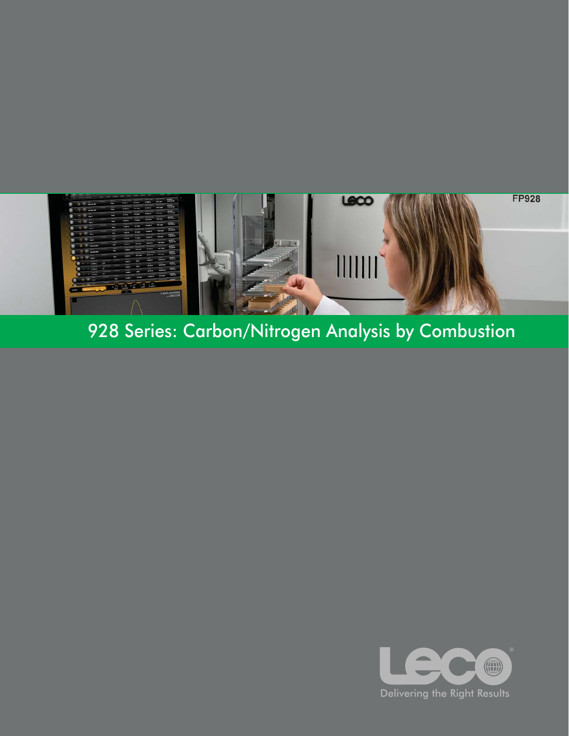

# 928 Series: Carbon/Nitrogen Analysis by Combustion

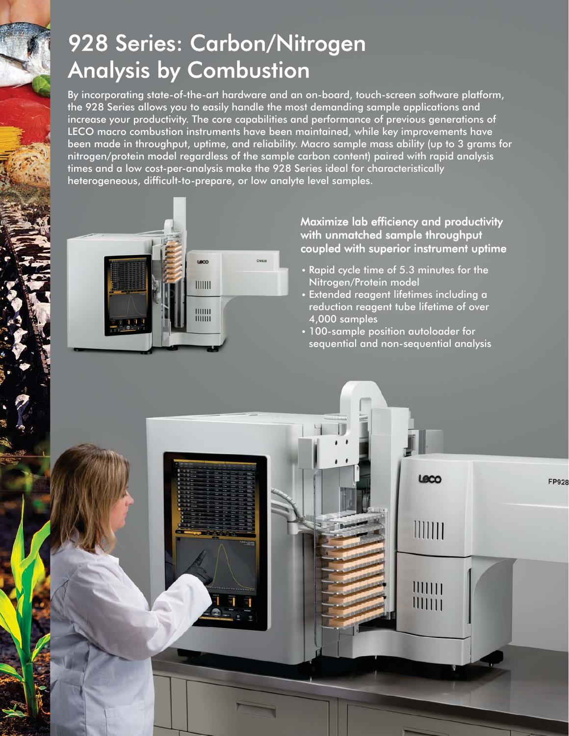# 928 Series: Carbon/Nitrogen Analysis by Combustion

By incorporating state-of-the-art hardware and an on-board, touch-screen software platform, the 928 Series allows you to easily handle the most demanding sample applications and increase your productivity. The core capabilities and performance of previous generations of LECO macro combustion instruments have been maintained, while key improvements have been made in throughput, uptime, and reliability. Macro sample mass ability (up to 3 grams for nitrogen/protein model regardless of the sample carbon content) paired with rapid analysis times and a low cost-per-analysis make the 928 Series ideal for characteristically heterogeneous, difficult-to-prepare, or low analyte level samples.



### Maximize lab efficiency and productivity with unmatched sample throughput coupled with superior instrument uptime

- Rapid cycle time of 5.3 minutes for the Nitrogen/Protein model
- Extended reagent lifetimes including a reduction reagent tube lifetime of over 4,000 samples
- 100-sample position autoloader for sequential and non-sequential analysis

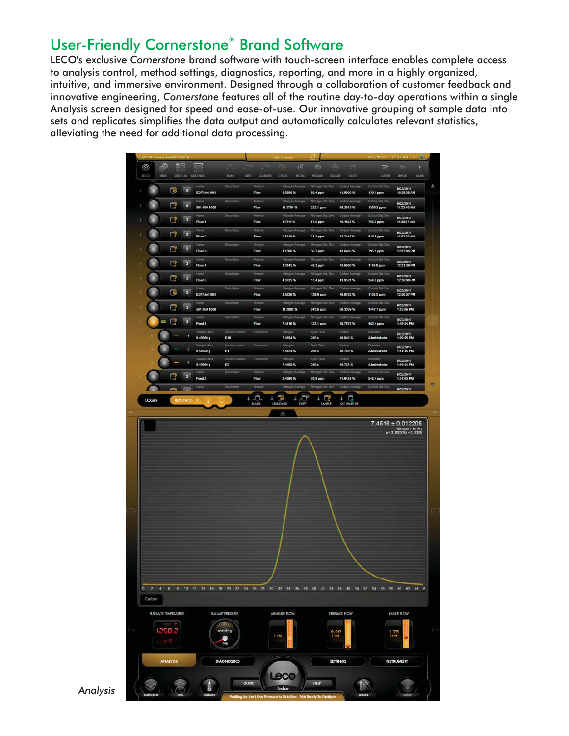### User-Friendly Cornerstone<sup>®</sup> Brand Software

LECO's exclusive Cornerstone brand software with touch-screen interface enables complete access to analysis control, method settings, diagnostics, reporting, and more in a highly organized, intuitive, and immersive environment. Designed through a collaboration of customer feedback and innovative engineering, Cornerstone features all of the routine day-to-day operations within a single Analysis screen designed for speed and ease-of-use. Our innovative grouping of sample data into sets and replicates simplifies the data output and automatically calculates relevant statistics, alleviating the need for additional data processing.



*Analysis*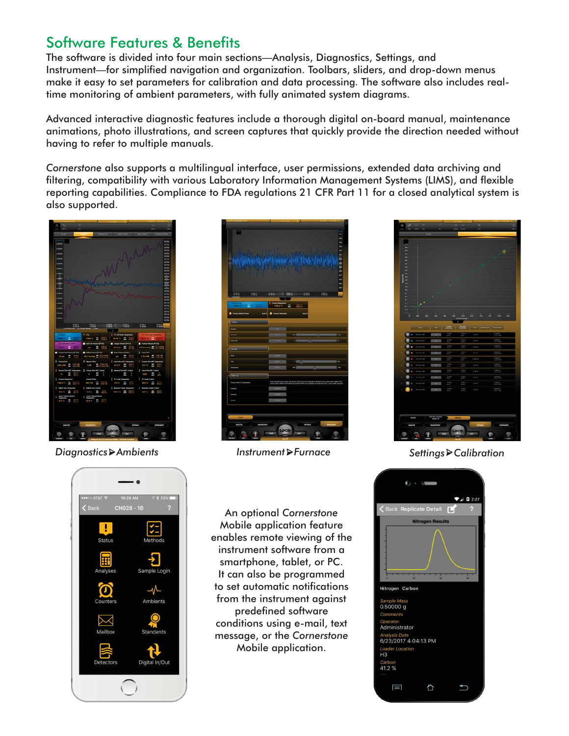### Software Features & Benefits

The software is divided into four main sections—Analysis, Diagnostics, Settings, and Instrument—for simplified navigation and organization. Toolbars, sliders, and drop-down menus make it easy to set parameters for calibration and data processing. The software also includes realtime monitoring of ambient parameters, with fully animated system diagrams.

Advanced interactive diagnostic features include a thorough digital on-board manual, maintenance animations, photo illustrations, and screen captures that quickly provide the direction needed without having to refer to multiple manuals.

*Cornerstone* also supports a multilingual interface, user permissions, extended data archiving and filtering, compatibility with various Laboratory Information Management Systems (LIMS), and flexible reporting capabilities. Compliance to FDA regulations 21 CFR Part 11 for a closed analytical system is also supported.



*Diagnostics Ambients Instrument Furnace Settings Calibration*





An optional *Cornerstone* Mobile application feature enables remote viewing of the instrument software from a smartphone, tablet, or PC. It can also be programmed to set automatic notifications from the instrument against predefined software conditions using e-mail, text message, or the *Cornerstone* Mobile application.



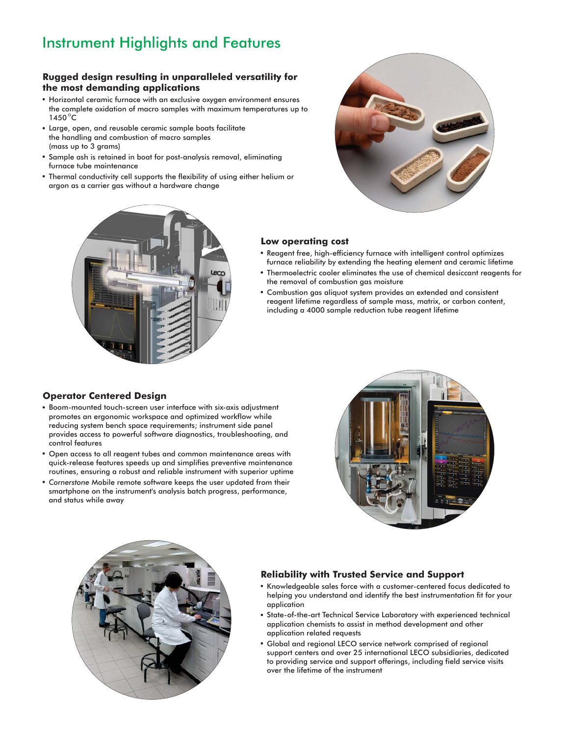## Instrument Highlights and Features

#### **Rugged design resulting in unparalleled versatility for the most demanding applications**

- Horizontal ceramic furnace with an exclusive oxygen environment ensures the complete oxidation of macro samples with maximum temperatures up to  $1450^{\circ}$ C
- Large, open, and reusable ceramic sample boats facilitate the handling and combustion of macro samples (mass up to 3 grams)
- Sample ash is retained in boat for post-analysis removal, eliminating furnace tube maintenance
- Thermal conductivity cell supports the flexibility of using either helium or argon as a carrier gas without a hardware change



#### **Low operating cost**

- Reagent free, high-efficiency furnace with intelligent control optimizes furnace reliability by extending the heating element and ceramic lifetime
- Thermoelectric cooler eliminates the use of chemical desiccant reagents for the removal of combustion gas moisture
- Combustion gas aliquot system provides an extended and consistent reagent lifetime regardless of sample mass, matrix, or carbon content, including a 4000 sample reduction tube reagent lifetime

#### **Operator Centered Design**

- Boom-mounted touch-screen user interface with six-axis adjustment promotes an ergonomic workspace and optimized workflow while reducing system bench space requirements; instrument side panel provides access to powerful software diagnostics, troubleshooting, and control features
- Open access to all reagent tubes and common maintenance areas with quick-release features speeds up and simplifies preventive maintenance routines, ensuring a robust and reliable instrument with superior uptime
- *Cornerstone* Mobile remote software keeps the user updated from their smartphone on the instrument's analysis batch progress, performance, and status while away





#### **Reliability with Trusted Service and Support**

- Knowledgeable sales force with a customer-centered focus dedicated to helping you understand and identify the best instrumentation fit for your application
- State-of-the-art Technical Service Laboratory with experienced technical application chemists to assist in method development and other application related requests
- Global and regional LECO service network comprised of regional support centers and over 25 international LECO subsidiaries, dedicated to providing service and support offerings, including field service visits over the lifetime of the instrument